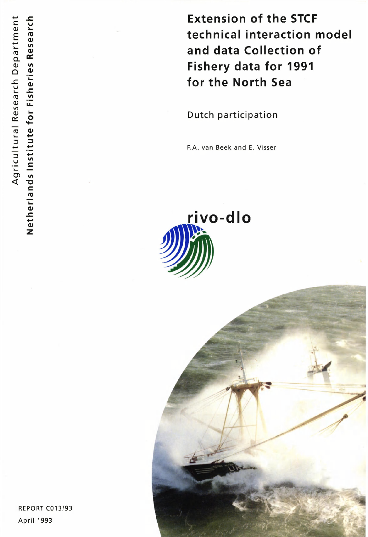**Extension of the STCF technical interaction model and data Collection of Fishery data for 1991 for the North Sea** 

Dutch participation

F.A. van Beek and E. Visser



REPORT C013/93 April 1993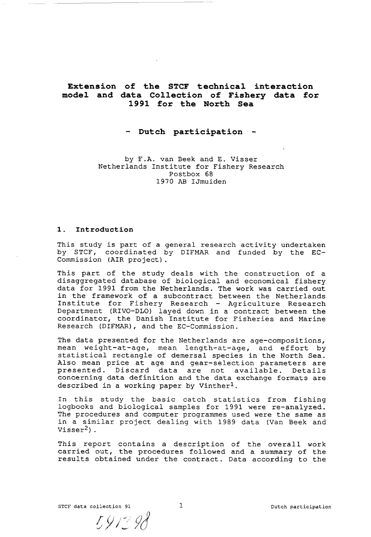# **Extension of the STCF technical interaction model and data Collection of Fishery data for 1991 for the North Sea**

## **- Dutch participation -**

by F.A. van Beek and E. Visser Netherlands Institute for Fishery Research Postbox 68 1970 AB IJmuiden

## **1. Introduction**

This study is part of a general research activity undertaken by STCF, coordinated by DIFMAR and funded by the EC-Commission (AIR project).

This part of the study deals with the construction of a disaggregated database of biological and economical fishery data for 1991 from the Netherlands. The work was carried out in the framework of a subcontract between the Netherlands Institute for Fishery Research - Agriculture Research Department (RIVO-DLO) layed down in a contract between the coordinator, the Danish Institute for Fisheries and Marine Research (DIFMAR), and the EC-Commission.

The data presented for the Netherlands are age-compositions, mean weight-at-age, mean length-at-age, and effort by statistical rectangle of demersal species in the North Sea. Also mean price at age and gear-selection parameters are presented. Discard data are not available. Details concerning data definition and the data exchange formats are described in a working paper by Vinther<sup>1</sup>.

In this study the basic catch statistics from fishing logbooks and biological samples for 1991 were re-analyzed. The procedures and computer programmes used were the same as in a similar project dealing with 1989 data (Van Beek and Visser $2)$ .

This report contains a description of the overall work carried out, the procedures followed and a summary of the results obtained under the contract. Data according to the

**STCF** data collection 91 1 1 Dutch participation

591398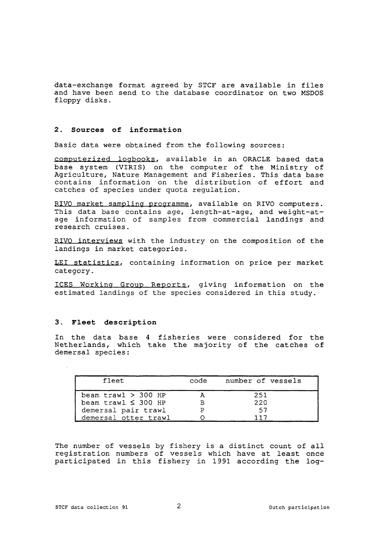data-exchange format agreed by STCF are available in files and have been send to the database coordinator on two MSDOS floppy disks.

## **2. Sources of information**

Basic data were obtained from the following sources:

computerized logbooks, available in an ORACLE based data base system (VIRIS) on the computer of the Ministry of Agriculture, Nature Management and Fisheries. This data base contains information on the distribution of effort and catches of species under quota regulation.

RIVO market sampling programme, available on RIVO computers. This data base contains age, length-at-age, and weight-atage information of samples from commercial landings and research cruises.

RIVO interviews with the industry on the composition of the landings in market categories.

LEI statistics, containing information on price per market category.

ICES Working Group Reports, giving information on the estimated landings of the species considered in this study.

#### **3. Fleet description**

In the data base 4 fisheries were considered for the Netherlands, which take the majority of the catches of demersal species :

| fleet                        | code | number of vessels |
|------------------------------|------|-------------------|
| beam $\text{trav1} > 300$ HP |      | 251               |
| beam trawl $\leq$ 300 HP     |      | 220               |
| demersal pair trawl          |      | .57               |
| demersal otter trawl         |      |                   |

The number of vessels by fishery is a distinct count of all registration numbers of vessels which have at least once participated in this fishery in 1991 according the log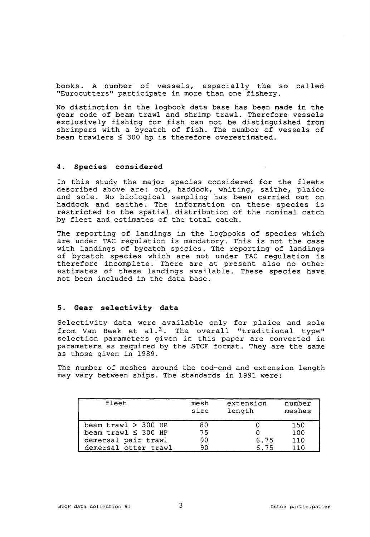books. A number of vessels, especially the so called "Eurocutters" participate in more than one fishery.

No distinction in the logbook data base has been made in the gear code of beam trawl and shrimp trawl. Therefore vessels exclusively fishing for fish can not be distinguished from shrimpers with a bycatch of fish. The number of vessels of beam trawlers  $\leq 300$  hp is therefore overestimated.

## **4. Species considered**

In this study the major species considered for the fleets described above are: cod, haddock, whiting, saithe, plaice and sole. No biological sampling has been carried out on haddock and saithe. The information on these species is restricted to the spatial distribution of the nominal catch by fleet and estimates of the total catch.

The reporting of landings in the logbooks of species which are under TAC regulation is mandatory. This is not the case with landings of bycatch species. The reporting of landings of bycatch species which are not under TAC regulation is therefore incomplete. There are at present also no other estimates of these landings available. These species have not been included in the data base.

## **5. Gear selectivity data**

Selectivity data were available only for plaice and sole from Van Beek et al.<sup>3</sup>. The overall "traditional type" selection parameters given in this paper are converted in parameters as required by the STCF format. They are the same as those given in 1989.

The number of meshes around the cod-end and extension length may vary between ships. The standards in 1991 were:

| fleet                    | mesh<br>size | extension<br>length | number<br>meshes |
|--------------------------|--------------|---------------------|------------------|
| beam $trav1 > 300$ HP    | 80           |                     | 150              |
| beam trawl $\leq$ 300 HP | 75           |                     | 100              |
| demersal pair trawl      | 90           | 6.75                | 110              |
| demersal otter trawl     | 90           | 6.75                | 110              |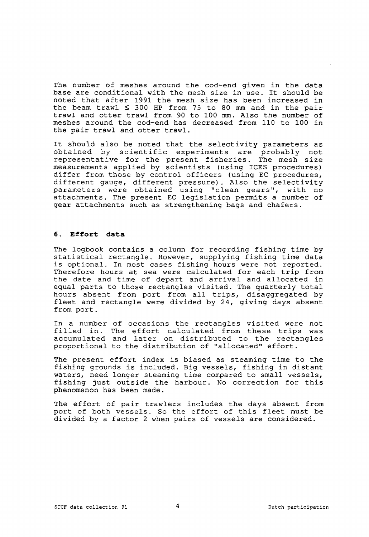The number of meshes around the cod-end given in the data base are conditional with the mesh size in use. It should be noted that after 1991 the mesh size has been increased in the beam trawl  $\leq$  300 HP from 75 to 80 mm and in the pair trawl and otter trawl from 90 to 100 mm. Also the number of meshes around the cod-end has decreased from 110 to 100 in the pair trawl and otter trawl.

It should also be noted that the selectivity parameters as obtained by scientific experiments are probably not representative for the present fisheries. The mesh size measurements applied by scientists (using ICES procedures) differ from those by control officers (using EC procedures, different gauge, different pressure). Also the selectivity parameters were obtained using "clean gears", with no attachments. The present EC legislation permits a number of gear attachments such as strengthening bags and chafers.

## **6. Effort data**

The logbook contains a column for recording fishing time by statistical rectangle. However, supplying fishing time data is optional. In most cases fishing hours were not reported. Therefore hours at sea were calculated for each trip from the date and time of depart and arrival and allocated in equal parts to those rectangles visited. The quarterly total hours absent from port from all trips, disaggregated by fleet and rectangle were divided by 24, giving days absent from port.

In a number of occasions the rectangles visited were not filled in. The effort calculated from these trips was accumulated and later on distributed to the rectangles proportional to the distribution of "allocated" effort.

The present effort index is biased as steaming time to the fishing grounds is included. Big vessels, fishing in distant waters, need longer steaming time compared to small vessels, fishing just outside the harbour. No correction for this phenomenon has been made.

The effort of pair trawlers includes the days absent from port of both vessels. So the effort of this fleet must be divided by a factor 2 when pairs of vessels are considered.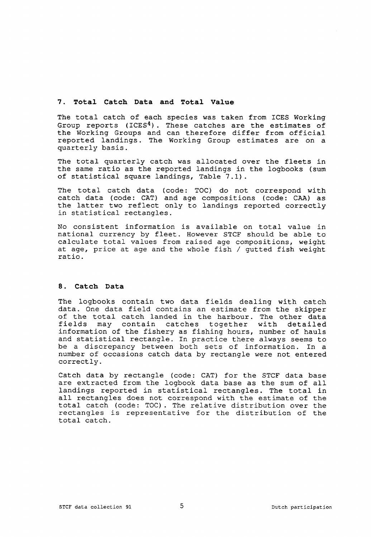### **7. Total Catch Data and Total Value**

The total catch of each species was taken from ICES Working Group reports (ICES<sup>4</sup>). These catches are the estimates of the Working Groups and can therefore differ from official reported landings. The Working Group estimates are on a quarterly basis.

The total quarterly catch was allocated over the fleets in the same ratio as the reported landings in the logbooks (sum of statistical square landings, Table 7.1).

The total catch data (code: TOC) do not correspond with catch data (code: CAT) and age compositions (code: CAA) as the latter two reflect only to landings reported correctly in statistical rectangles.

No consistent information is available on total value in national currency by fleet. However STCF should be able to calculate total values from raised age compositions, weight at age, price at age and the whole fish / gutted fish weight ratio.

## **8. Catch Data**

The logbooks contain two data fields dealing with catch data. One data field contains an estimate from the skipper of the total catch landed in the harbour. The other data<br>fields may contain catches together with detailed together with information of the fishery as fishing hours, number of hauls and statistical rectangle. In practice there always seems to be a discrepancy between both sets of information. In a number of occasions catch data by rectangle were not entered correctly.

Catch data by rectangle (code: CAT) for the STCF data base are extracted from the logbook data base as the sum of all landings reported in statistical rectangles. The total in all rectangles does not correspond with the estimate of the total catch (code: TOC). The relative distribution over the rectangles is representative for the distribution of the total catch.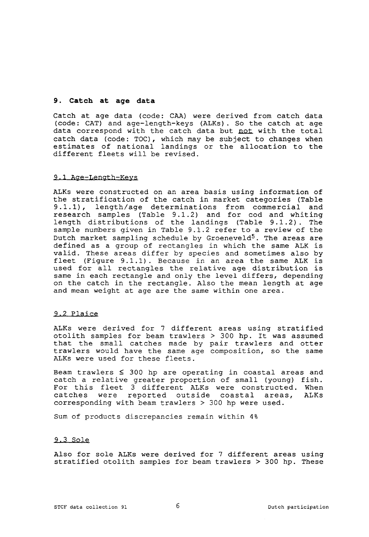## **9. Catch at age data**

Catch at age data (code: CAA) were derived from catch data (code: CAT) and age-length-keys (ALKs) . So the catch at age data correspond with the catch data but not with the total catch data (code: TOC), which may be subject to changes when estimates of national landings or the allocation to the different fleets will be revised.

#### 9.1 Age-Length-Keys

ALKs were constructed on an area basis using information of the stratification of the catch in market categories (Table 9.1.1), length/age determinations from commercial and research samples (Table 9.1.2) and for cod and whiting length distributions of the landings (Table 9.1.2). The sample numbers given in Table 9.1.2 refer to a review of the Dutch market sampling schedule by Groeneveld<sup>5</sup>. The areas are defined as a group of rectangles in which the same ALK is valid. These areas differ by species and sometimes also by fleet (Figure 9.1.1) . Because in an area the same ALK is used for all rectangles the relative age distribution is same in each rectangle and only the level differs, depending on the catch in the rectangle. Also the mean length at age and mean weight at age are the same within one area.

#### 9.2 Plaice

ALKs were derived for 7 different areas using stratified otolith samples for beam trawlers > 300 hp. It was assumed that the small catches made by pair trawlers and otter trawlers would have the same age composition, so the same ALKs were used for these fleets.

Beam trawlers < 300 hp are operating in coastal areas and catch a relative greater proportion of small (young) fish. For this fleet 3 different ALKs were constructed. When catches were reported outside coastal areas, ALKs corresponding with beam trawlers > 300 hp were used.

Sum of products discrepancies remain within 4%

## 9.3 Sole

Also for sole ALKs were derived for 7 different areas using stratified otolith samples for beam trawlers > 300 hp. These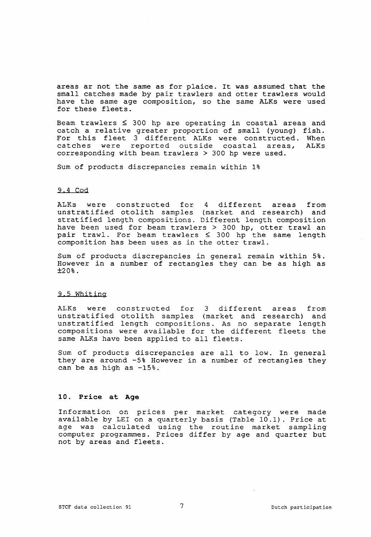areas ar not the same as for plaice. It was assumed that the small catches made by pair trawlers and otter trawlers would have the same age composition, so the same ALKs were used for these fleets.

Beam trawlers  $\leq$  300 hp are operating in coastal areas and catch a relative greater proportion of small (young) fish. For this fleet 3 different ALKs were constructed. When<br>catches were reported outside coastal areas. ALKs catches were reported outside coastal areas, corresponding with beam trawlers > 300 hp were used.

Sum of products discrepancies remain within 1%

## 9.4 Cod

ALKs were constructed for 4 different areas from unstratified otolith samples (market and research) and stratified length compositions. Different length composition have been used for beam trawlers > 300 hp, otter trawl an pair trawl. For beam trawlers < 300 hp the same length composition has been uses as in the otter trawl.

Sum of products discrepancies in general remain within 5%. However in a number of rectangles they can be as high as **±20% .** 

## 9.5 Whiting

ALKs were constructed for 3 different areas from unstratified otolith samples (market and research) and unstratified length compositions. As no separate length compositions were available for the different fleets the same ALKs have been applied to all fleets.

Sum of products discrepancies are all to low. In general they are around -5% However in a number of rectangles they can be as high as -15%.

## **10. Price at Age**

Information on prices per market category were made available by LEI on a quarterly basis (Table 10.1). Price at age was calculated using the routine market sampling computer programmes. Prices differ by age and quarter but not by areas and fleets.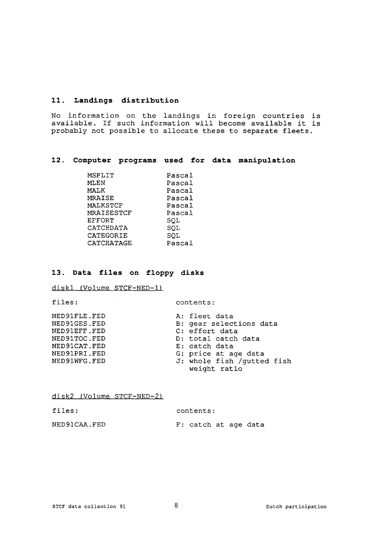## **11. Landings distribution**

No information on the landings in foreign countries is available. If such information will become available it is probably not possible to allocate these to separate fleets.

## **12. Computer programs used for data manipulation**

| MSPLIT        | Pascal |
|---------------|--------|
| MLEN          | Pascal |
| MALK          | Pascal |
| MRAISE        | Pascal |
| MALKSTCF      | Pascal |
| MRAISESTCF    | Pascal |
| <b>EFFORT</b> | SOL    |
| CATCHDATA     | SQL    |
| CATEGORIE     | SOL    |
| CATCHATAGE    | Pascal |

# **13. Data files on floppy disks**

diskl (Volume STCF-NED-1)

files: contents:

| NED91FLE.FED | A: fleet data              |
|--------------|----------------------------|
| NED91GES.FED | B: gear selections data    |
| NED91EFF.FED | C: effort data             |
| NED91TOC.FED | D: total catch data        |
| NED91CAT.FED | E: catch data              |
| NED91PRI.FED | G: price at age data       |
| NED91WFG.FED | J: whole fish /gutted fish |
|              | weight ratio               |

disk2 (Volume STCF-NED-2)

| files:       | contents:            |  |  |  |  |  |  |
|--------------|----------------------|--|--|--|--|--|--|
| NED91CAA.FED | F: catch at age data |  |  |  |  |  |  |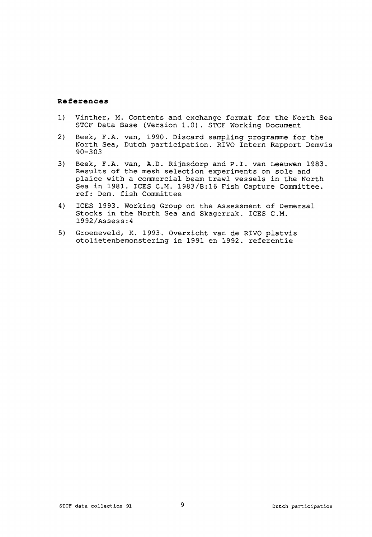## **References**

- 1) Vinther, M. Contents and exchange format for the North Sea STCF Data Base (Version 1.0). STCF Working Document
- 2) Beek, F.A. van, 1990. Discard sampling programme for the North Sea, Dutch participation. RIVO Intern Rapport Demvis 90-303
- 3) Beek, F.A. van, A.D. Rijnsdorp and P.I. van Leeuwen 1983. Results of the mesh selection experiments on sole and plaice with a commercial beam trawl vessels in the North Sea in 1981. ICES C.M. 1983/B:16 Fish Capture Committee, ref: Dem. fish Committee
- 4) ICES 1993. Working Group on the Assessment of Demersal Stocks in the North Sea and Skagerrak. ICES C.M. 1992/Assess: 4
- 5) Groeneveld, K. 1993. Overzicht van de RIVO platvis otolietenbemonstering in 1991 en 1992. referentie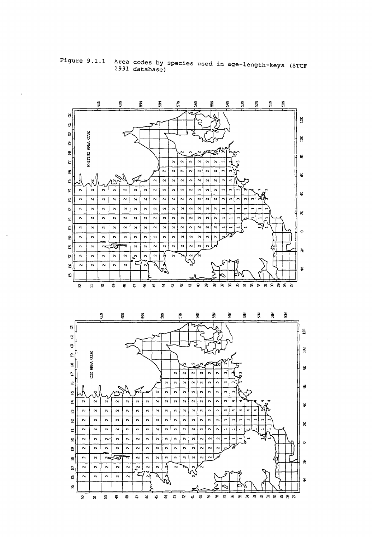

**Figure 9.1.1 Area codes by species used in age-length-keys (STCF 1991 database)**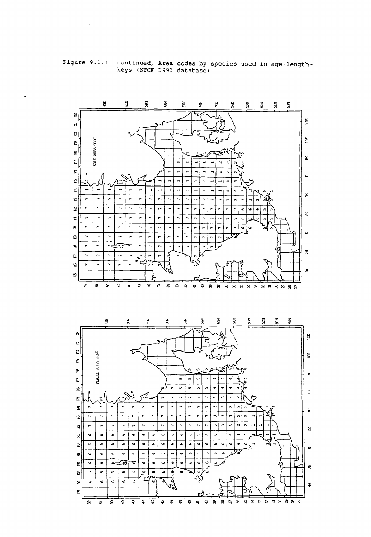

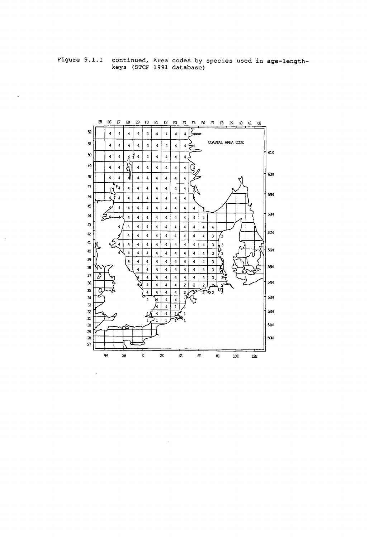**Figure 9.1.1 continued, Area codes by species used in age-lengthkeys (STCF 1991 database)** 

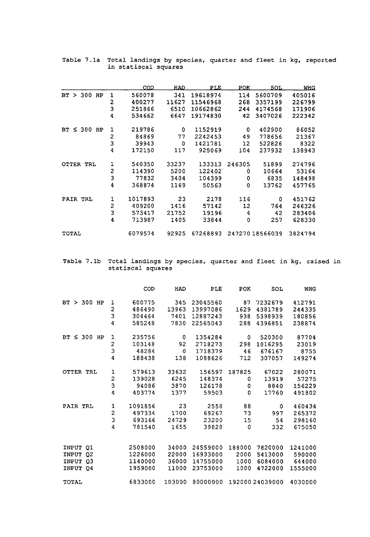|                  |                         | COD     | <u>HAD.</u> | PLE.     | POK.              | SOL.           | <b>WHG</b> |
|------------------|-------------------------|---------|-------------|----------|-------------------|----------------|------------|
| $BT > 300$ HP    | 1                       | 560078  | 341         | 19618974 | 114               | 5600709        | 405016     |
|                  | $\overline{\mathbf{c}}$ | 400277  | 11627       | 11546968 | 268               | 3357199        | 226799     |
|                  | 3                       | 251866  | 6510        | 10662862 | 244               | 4174568        | 171906     |
|                  | 4                       | 534662  | 6647        | 19174830 | 42                | 3407026        | 222342     |
| $BT \leq 300$ HP | 1                       | 219786  | 0           | 1152919  | 0                 | 402900         | 86052      |
|                  | 2                       | 84869   | 77          | 2242453  | 49                | 778656         | 21367      |
|                  | 3                       | 39943   | 0           | 1421781  | 12                | 522826         | 8322       |
|                  | 4                       | 172150  | 117         | 925069   | 104               | 237932         | 138943     |
| OTTER TRL        | 1                       | 540350  | 33237       | 133313   | 246305            | 51899          | 274796     |
|                  | $\overline{\mathbf{c}}$ | 114390  | 5200        | 122402   | 0                 | 10664          | 53164      |
|                  | 3                       | 77832   | 3404        | 104399   | 0                 | 6835           | 148498     |
|                  | $\ddot{\bf 4}$          | 368874  | 1169        | 50563    | 0                 | 13762          | 457765     |
| PAIR TRL         | 1                       | 1017893 | 23          | 2178     | 116               | 0              | 451762     |
|                  | 2                       | 409200  | 1416        | 57142    | $12 \overline{ }$ | 764            | 246326     |
|                  | 3                       | 573417  | 21752       | 19196    | 4                 | 42             | 283406     |
|                  | 4                       | 713987  | 1405        | 33844    | 0                 | 257            | 628330     |
| TOTAL            |                         | 6079574 | 92925       | 67268893 |                   | 24727018566039 | 3824794    |

**Table 7.1a Total landings by species, quarter and fleet in kg, reported in statiscal squares** 

Table 7.1b Total landings by species, quarter and fleet in kg, rais **statiscal squares** 

|                                     |                         | COD     | HAD     | PLE      | POK    | SOL            | <b>WHG</b>       |
|-------------------------------------|-------------------------|---------|---------|----------|--------|----------------|------------------|
| BT > 300 HP                         | 1                       | 600775  | 345     | 23045560 | 87     | 7232679        | 412791           |
|                                     | 2                       | 486490  | 13963   | 13997086 | 1629   | 4381789        | 244335           |
|                                     | 3                       | 304464  | 7401    | 12887243 | 938    | 5398939        | 180856           |
|                                     | $\overline{\mathbf{4}}$ | 585248  | 7830    | 22565043 | 288    | 4396851        | 238874           |
| $\leq$ 300 HP<br>BT.                | 1                       | 235756  | $\circ$ | 1354284  | 0      | 520300         | 87704            |
|                                     | $\overline{\mathbf{c}}$ | 103148  | 92      | 2718273  | 298    | 1016295        | 23019            |
|                                     | 3                       | 48284   | 0       | 1718379  | 46     | 676167         | 8755             |
|                                     | 4                       | 188438  | 138     | 1088626  | 712    | 307057         | 149274           |
| OTTER TRL                           | $\mathbf 1$             | 579613  | 33632   | 156597   | 187825 | 67022          | 280071           |
|                                     | $\overline{c}$          | 139028  | 6245    | 148374   | 0      | 13919          | 57275            |
|                                     | 3                       | 94086   | 3870    | 126178   | 0      | 8840           | 156229           |
|                                     | 4                       | 403774  | 1377    | 59503    | 0      | 17760          | 491802           |
| PAIR TRL                            | 1                       | 1091856 | 23      | 2558     | 88     | 0              | 460434           |
|                                     | $\overline{c}$          | 497334  | 1700    | 69267    | 73     | 997            | 265372           |
|                                     | 3                       | 693166  | 24729   | 23200    | 15     | 54             | 298160           |
|                                     | 4                       | 781540  | 1655    | 39828    | 0      | 332            | 675050           |
|                                     |                         | 2508000 | 34000   | 24559000 | 188000 | 7820000        |                  |
| INPUT<br>Q1                         |                         | 1226000 | 22000   | 16933000 | 2000   | 5413000        | 1241000          |
| INPUT<br>Q <sub>2</sub><br>INPUT 03 |                         | 1140000 | 36000   | 14755000 | 1000   | 6084000        | 590000<br>644000 |
| INPUT 04                            |                         | 1959000 | 11000   | 23753000 | 1000   | 4722000        | 1555000          |
| TOTAL                               |                         | 6833000 | 103000  | 80000000 |        | 19200024039000 | 4030000          |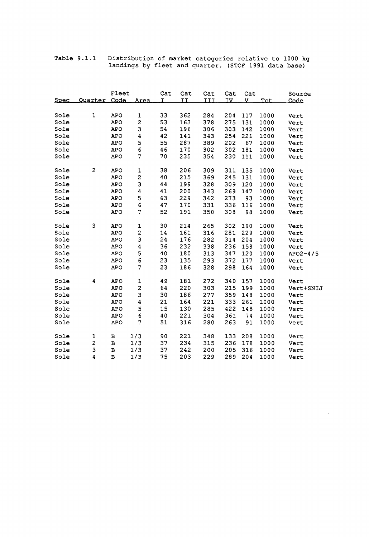**Table 9.1.1 Distribution of market categories relative to 1000 kg landings by fleet and quarter. (STCF 1991 data base)** 

 $\hat{\boldsymbol{\beta}}$ 

| Spec | Ouarter      | Fleet<br>Code | Area                    | Cat<br>I | Cat<br><b>II</b> | Cat<br><b>III</b> | Cat<br><u>IV</u> | Cat<br>v. | Tot  | Source<br>Code |
|------|--------------|---------------|-------------------------|----------|------------------|-------------------|------------------|-----------|------|----------------|
|      |              |               |                         |          |                  |                   |                  |           |      |                |
| Sole | $\mathbf 1$  | APO           | $\mathbf{1}$            | 33       | 362              | 284               | 204              | $117 -$   | 1000 | Vert           |
| Sole |              | APO           | 2                       | 53       | 163              | 378               | 275              | 131       | 1000 | Vert           |
| Sole |              | APO           | 3                       | 54       | 196              | 306               | 303              | 142       | 1000 | Vert           |
| Sole |              | <b>APO</b>    | 4                       | 42       | 141              | 343               | 254              | 221       | 1000 | Vert           |
| Sole |              | <b>APO</b>    | 5                       | 55       | 287              | 389               | 202              | 67        | 1000 | Vert           |
| Sole |              | <b>APO</b>    | $\mathbf 6$             | 46       | 170              | 302               | 302              | 181       | 1000 | Vert           |
| Sole |              | <b>APO</b>    | 7                       | 70       | 235              | 354               | 230              | 111       | 1000 | Vert           |
|      |              |               |                         |          |                  |                   |                  |           |      |                |
| Sole | $\mathbf{z}$ | <b>APO</b>    | 1                       | 38       | 206              | 309               | 311              | 135       | 1000 | Vert           |
| Sole |              | <b>APO</b>    | 2                       | 40       | 215              | 369               | 245              | 131       | 1000 | Vert           |
| Sole |              | <b>APO</b>    | 3                       | 44       | 199              | 328               | 309              | 120       | 1000 | Vert           |
| Sole |              | <b>APO</b>    | 4                       | 41       | 200              | 343               | 269              | 147       | 1000 | Vert           |
| Sole |              | <b>APO</b>    | 5                       | 63       | 229              | 342               | 273              | 93        | 1000 | Vert           |
| Sole |              | <b>APO</b>    | 6                       | 47       | 170              | 331               | 336              | 116       | 1000 | Vert           |
| Sole |              | <b>APO</b>    | 7                       | 52       | 191              | 350               | 308              | 98        | 1000 | Vert           |
|      |              |               |                         |          |                  |                   |                  |           |      |                |
| Sole | 3            | <b>APO</b>    | $\mathbf 1$             | 30       | 214              | 265               | 302              | 190       | 1000 | Vert           |
| Sole |              | <b>APO</b>    | $\overline{\mathbf{c}}$ | 14       | 161              | 316               | 281              | 229       | 1000 | Vert           |
| Sole |              | <b>APO</b>    | 3                       | 24       | 176              | 282               | 314              | 204       | 1000 | Vert           |
| Sole |              | <b>APO</b>    | 4                       | 36       | 232              | 338               | 236              | 158       | 1000 | Vert           |
| Sole |              | <b>APO</b>    | 5                       | 40       | 180              | 313               | 347              | 120       | 1000 | $APO2-4/5$     |
| Sole |              | <b>APO</b>    | 6                       | 23       | 135              | 293               | 372              | 177       | 1000 | Vert           |
| Sole |              | <b>APO</b>    | 7                       | 23       | 186              | 328               | 298              | 164       | 1000 | Vert           |
|      |              |               |                         |          |                  |                   |                  |           |      |                |
| Sole | 4            | <b>APO</b>    | $\mathbf 1$             | 49       | 181              | 272               | 340              | 157       | 1000 | Vert           |
| Sole |              | <b>APO</b>    | $\overline{c}$          | 64       | 220              | 303               | 215              | 199       | 1000 | Vert+SNIJ      |
| Sole |              | <b>APO</b>    | 3                       | 30       | 186              | 277               | 359              | 148       | 1000 | Vert           |
| Sole |              | <b>APO</b>    | 4                       | 21       | 164              | 221               | 333              | 261       | 1000 | Vert           |
| Sole |              | <b>APO</b>    | 5                       | 15       | 130              | 285               | 422              | 148       | 1000 | Vert           |
| Sole |              | <b>APO</b>    | $\epsilon$              | 40       | 221              | 304               | 361              | 74        | 1000 | Vert           |
| Sole |              | <b>APO</b>    | 7                       | 51       | 316              | 280               | 263              | 91        | 1000 | Vert           |
| Sole | 1            | в             | 1/3                     | 90       | 221              | 348               | 133              | 208       | 1000 | Vert           |
| Sole | $\mathbf{z}$ | в             | 1/3                     | 37       | 234              | 315               | 236              | 178       | 1000 | Vert           |
| Sole | 3            | $\, {\bf B}$  | 1/3                     | 37       | 242              | 200               | 205              | 316       | 1000 | Vert           |
| Sole | 4            | $\, {\bf B}$  | 1/3                     | 75       | 203              | 229               | 289              | 204       | 1000 | Vert           |

 $\hat{\mathbf{v}}$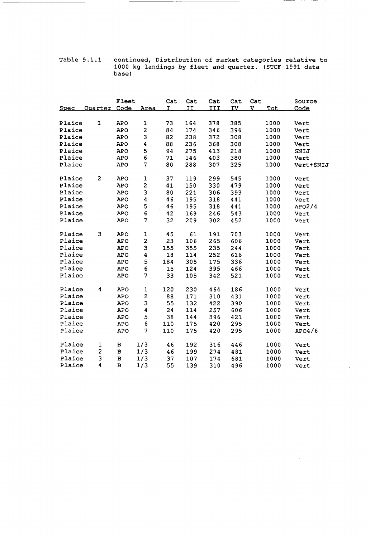**Table 9.1.1 continued., Distribution of market categories relative to 1000 kg landings by fleet and quarter. (STCF 1991 data base)** 

 $\mathcal{L}_{\mathcal{L}}$ 

 $\bar{z}$ 

|             | Quarter Code            | Fleet        | Area                    | Cat<br>T | Cat<br>II | Cat<br>III | Cat<br>IV. | Cat<br>v | Tot  | Source    |
|-------------|-------------------------|--------------|-------------------------|----------|-----------|------------|------------|----------|------|-----------|
| <u>Spec</u> |                         |              |                         |          |           |            |            |          |      | Code      |
| Plaice      | 1                       | <b>APO</b>   | $\mathbf 1$             | 73       | 164       | 378        | 385        |          | 1000 | Vert      |
| Plaice      |                         | <b>APO</b>   | $\overline{\mathbf{c}}$ | 84       | 174       | 346        | 396        |          | 1000 | Vert      |
| Plaice      |                         | <b>APO</b>   | 3                       | 82       | 238       | 372        | 308        |          | 1000 | Vert      |
| Plaice      |                         | <b>APO</b>   | 4                       | 88       | 236       | 368        | 308        |          | 1000 | Vert      |
| Plaice      |                         | <b>APO</b>   | 5                       | 94       | 275       | 413        | 218        |          | 1000 | SNIJ      |
| Plaice      |                         | <b>APO</b>   | 6                       | 71       | 146       | 403        | 380        |          | 1000 | Vert      |
| Plaice      |                         | <b>APO</b>   | 7                       | 80       | 288       | 307        | 325        |          | 1000 |           |
|             |                         |              |                         |          |           |            |            |          |      | Vert+SNIJ |
| Plaice      | $\overline{\mathbf{c}}$ | <b>APO</b>   | $\mathbf 1$             | 37       | 119       | 299        | 545        |          | 1000 | Vert      |
| Plaice      |                         | <b>APO</b>   | $\mathbf{z}$            | 41       | 150       | 330        | 479        |          | 1000 | Vert      |
| Plaice      |                         | <b>APO</b>   | 3                       | 80       | 221       | 306        | 393        |          | 1000 | Vert      |
| Plaice      |                         | <b>APO</b>   | 4                       | 46       | 195       | 318        | 441        |          | 1000 | Vert      |
| Plaice      |                         | <b>APO</b>   |                         | 46       | 195       | 318        | 441        |          | 1000 | APO2/4    |
| Plaice      |                         | <b>APO</b>   | 5<br>6                  | 42       | 169       | 246        | 543        |          | 1000 | Vert      |
| Plaice      |                         | <b>APO</b>   | 7                       | 32       | 209       | 302        | 452        |          | 1000 | Vert      |
|             |                         |              |                         |          |           |            |            |          |      |           |
| Plaice      | 3                       | <b>APO</b>   | $\mathbf 1$             | 45       | 61        | 191        | 703        |          | 1000 | Vert      |
| Plaice      |                         | <b>APO</b>   | $\overline{\mathbf{c}}$ | 23       | 106       | 265        | 606        |          | 1000 | Vert      |
| Plaice      |                         | <b>APO</b>   | 3                       | 155      | 355       | 235        | 244        |          | 1000 | Vert      |
| Plaice      |                         | <b>APO</b>   | 4                       | 18       | 114       | 252        | 616        |          | 1000 | Vert      |
| Plaice      |                         | <b>APO</b>   | 5                       | 184      | 305       | 175        | 336        |          | 1000 | Vert      |
| Plaice      |                         | <b>APO</b>   | 6                       | 15       | 124       | 395        | 466        |          | 1000 | Vert      |
| Plaice      |                         | <b>APO</b>   | 7                       | 33       | 105       | 342        | 521        |          | 1000 | Vert      |
|             |                         |              |                         |          |           |            |            |          |      |           |
| Plaice      | 4                       | <b>APO</b>   | $\mathbf{1}$            | 120      | 230       | 464        | 186        |          | 1000 | Vert      |
| Plaice      |                         | <b>APO</b>   | $\overline{\mathbf{c}}$ | 88       | 171       | 310        | 431        |          | 1000 | Vert      |
| Plaice      |                         | <b>APO</b>   | 3                       | 55       | 132       | 422        | 390        |          | 1000 | Vert      |
| Plaice      |                         | <b>APO</b>   | $\overline{\mathbf{4}}$ | 24       | 114       | 257        | 606        |          | 1000 | Vert      |
| Plaice      |                         | <b>APO</b>   | 5                       | 38       | 144       | 396        | 421        |          | 1000 | Vert      |
| Plaice      |                         | <b>APO</b>   | 6                       | 110      | 175       | 420        | 295        |          | 1000 | Vert      |
| Plaice      |                         | <b>APO</b>   | 7                       | 110      | 175       | 420        | 295        |          | 1000 | APO4/6    |
| Plaice      | $\mathbf 1$             | в            | 1/3                     | 46       | 192       | 316        | 446        |          | 1000 |           |
| Plaice      | 2                       | $\, {\bf B}$ | 1/3                     |          | 199       | 274        | 481        |          |      | Vert      |
| Plaice      | 3                       |              |                         | 46<br>37 | 107       |            | 681        |          | 1000 | Vert      |
|             |                         | $\, {\bf B}$ | 1/3                     |          |           | 174        |            |          | 1000 | Vert      |
| Plaice      | 4                       | $\, {\bf B}$ | 1/3                     | 55       | 139       | 310        | 496        |          | 1000 | Vert      |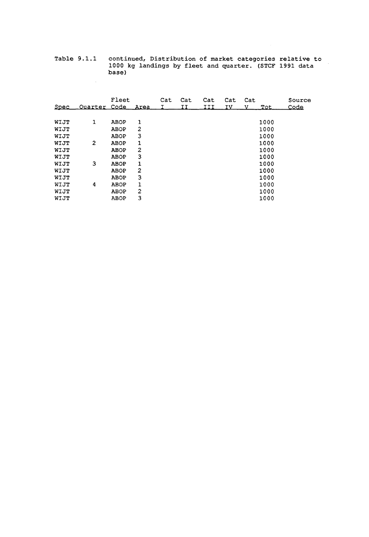**Table 9.1.1 continued, Distribution of market categories relative to 1000 kg landings by fleet and quarter. (STCF 1991 data base)** 

 $\sim 10$ 

 $\mathcal{L}^{\mathcal{L}}$ 

|             |                   | Fleet       |                | Cat | Cat | Cat | Cat | Cat |      | Source      |
|-------------|-------------------|-------------|----------------|-----|-----|-----|-----|-----|------|-------------|
| <u>Spec</u> | Ouarter Code Area |             |                |     | ΤТ  | III | ΙV  |     | Tot. | <u>Code</u> |
|             |                   |             |                |     |     |     |     |     |      |             |
| WIJT        | 1                 | <b>ABOP</b> | 1              |     |     |     |     |     | 1000 |             |
| WIJT        |                   | ABOP        | 2              |     |     |     |     |     | 1000 |             |
| WIJT        |                   | ABOP        | 3              |     |     |     |     |     | 1000 |             |
| WIJT        | 2                 | ABOP        | 1              |     |     |     |     |     | 1000 |             |
| WIJT        |                   | <b>ABOP</b> | 2              |     |     |     |     |     | 1000 |             |
| WIJT        |                   | <b>ABOP</b> | 3              |     |     |     |     |     | 1000 |             |
| WIJT        | 3                 | <b>ABOP</b> | 1              |     |     |     |     |     | 1000 |             |
| WIJT        |                   | <b>ABOP</b> | $\overline{c}$ |     |     |     |     |     | 1000 |             |
| WIJT        |                   | <b>ABOP</b> | 3              |     |     |     |     |     | 1000 |             |
| WIJT        | 4                 | ABOP        | 1              |     |     |     |     |     | 1000 |             |
| WIJT        |                   | ABOP        | 2              |     |     |     |     |     | 1000 |             |
| WIJT        |                   | ABOP        | 3              |     |     |     |     |     | 1000 |             |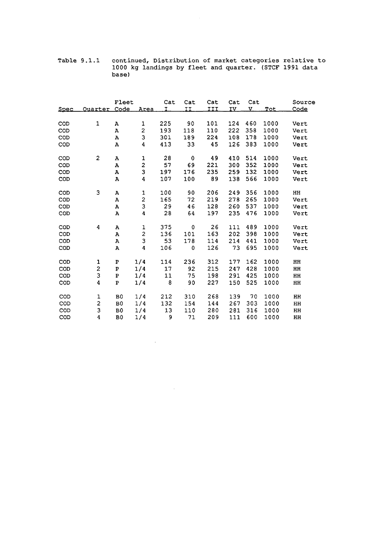**Table 9.1.1 continued, Distribution of market categories relative to 1000 kg landings by fleet and quarter. (STCF 1991 data base)** 

 $\sim$ 

| <u>Spec</u> | Ouarter Code            | Fleet          | Area | Cat<br>Τ | Cat<br>II | Cat<br>III | Cat<br>IV | Cat<br>v | Tot  | Source<br><u>Code</u> |
|-------------|-------------------------|----------------|------|----------|-----------|------------|-----------|----------|------|-----------------------|
|             |                         |                |      |          |           |            |           |          |      |                       |
| COD         | $\mathbf{1}$            | А              | 1    | 225      | 90        | 101        | 124       | 460      | 1000 | Vert                  |
| COD         |                         | Α              | 2    | 193      | 118       | 110        | 222       | 358      | 1000 | Vert                  |
| COD         |                         | A              | 3    | 301      | 189       | 224        | 108       | 178      | 1000 | Vert                  |
| COD         |                         | A              | 4    | 413      | 33        | 45         | 126       | 383      | 1000 | Vert                  |
| COD         | 2                       | А              | 1    | 28       | 0         | 49         | 410       | 514      | 1000 | Vert                  |
| COD         |                         | A              | 2    | 57       | 69        | 221        | 300       | 352      | 1000 | Vert                  |
| COD         |                         | A              | 3    | 197      | 176       | 235        | 259       | 132      | 1000 | Vert                  |
| COD         |                         | A              | 4    | 107      | 100       | 89         | 138       | 566      | 1000 | Vert                  |
| COD         | 3                       | А              | 1    | 100      | 90        | 206        | 249       | 356      | 1000 | HH                    |
| COD         |                         | А              | 2    | 165      | 72        | 219        | 278       | 265      | 1000 | Vert                  |
| COD         |                         | У              | 3    | 29       | 46        | 128        | 260       | 537      | 1000 | Vert                  |
| COD         |                         | A              | 4    | 28       | 64        | 197        | 235       | 476      | 1000 | Vert                  |
| COD         | 4                       | А              | 1    | 375      | 0         | 26         | 111       | 489      | 1000 | Vert                  |
| COD         |                         | А              | 2    | 136      | 101       | 163        | 202       | 398      | 1000 | Vert                  |
| COD         |                         | А              | 3    | 53       | 178       | 114        | 214       | 441      | 1000 | Vert                  |
| COD         |                         | A              | 4    | 106      | 0         | 126        | 73        | 695      | 1000 | Vert                  |
| COD         | 1                       | P              | 1/4  | 114      | 236       | 312        | 177       | 162      | 1000 | HH                    |
| COD         | 2                       | ${\bf P}$      | 1/4  | 17       | 92        | 215        | 247       | 428      | 1000 | HH                    |
| COD         | 3                       | $\, {\bf P}$   | 1/4  | 11       | 75        | 198        | 291       | 425      | 1000 | HH                    |
| COD         | 4                       | $\overline{P}$ | 1/4  | 8        | 90        | 227        | 150       | 525      | 1000 | HH                    |
| COD         | $\mathbf 1$             | B <sub>0</sub> | 1/4  | 212      | 310       | 268        | 139       | 70       | 1000 | HH                    |
| COD         | $\overline{\mathbf{c}}$ | B <sub>0</sub> | 1/4  | 132      | 154       | 144        | 267       | 303      | 1000 | HH                    |
| COD         | 3                       | B <sub>0</sub> | 1/4  | 13       | 110       | 280        | 281       | 316      | 1000 | HH                    |
| COD         | 4                       | B <sub>0</sub> | 1/4  | 9        | 71        | 209        | 111       | 600      | 1000 | HH                    |

 $\sim 10^{-11}$ 

 $\sim$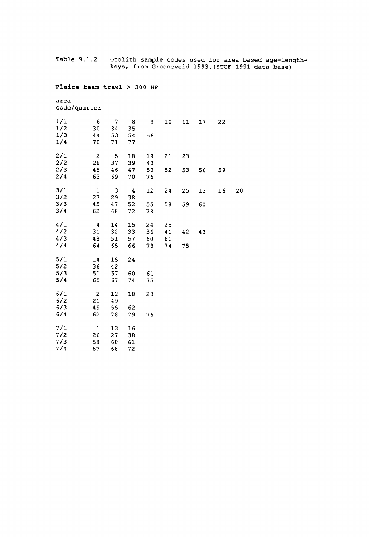**Table 9.1.2 Otolith sample codes used for area based age-lengthkeys, from Groeneveld 1993.(STCF 1991 data base)** 

**Plaice beam trawl > 300 HP** 

**area code/quarter** 

 $\hat{\mathcal{A}}$ 

| 1/1 | $\epsilon$              | $\overline{7}$ | 8  | 9  | 10 | 11 | 17 | 22 |    |
|-----|-------------------------|----------------|----|----|----|----|----|----|----|
| 1/2 | 30                      | 34             | 35 |    |    |    |    |    |    |
| 1/3 | 44                      | 53             | 54 | 56 |    |    |    |    |    |
| 1/4 | 70                      | 71             | 77 |    |    |    |    |    |    |
| 2/1 | $\overline{c}$          | 5              | 18 | 19 | 21 | 23 |    |    |    |
| 2/2 | 28                      | 37             | 39 | 40 |    |    |    |    |    |
| 2/3 | 45                      | 46             | 47 | 50 | 52 | 53 | 56 | 59 |    |
| 2/4 | 63                      | 69             | 70 | 76 |    |    |    |    |    |
| 3/1 | $\mathbf{I}$            | 3              | 4  | 12 | 24 | 25 | 13 | 16 | 20 |
| 3/2 | 27                      | 29             | 38 |    |    |    |    |    |    |
| 3/3 | 45                      | 47             | 52 | 55 | 58 | 59 | 60 |    |    |
| 3/4 | 62                      | 68             | 72 | 78 |    |    |    |    |    |
| 4/1 | $\overline{\mathbf{4}}$ | 14             | 15 | 24 | 25 |    |    |    |    |
| 4/2 | 31                      | 32             | 33 | 36 | 41 | 42 | 43 |    |    |
| 4/3 | 48                      | 51             | 57 | 60 | 61 |    |    |    |    |
| 4/4 | 64                      | 65             | 66 | 73 | 74 | 75 |    |    |    |
| 5/1 | 14                      | 15             | 24 |    |    |    |    |    |    |
| 5/2 | 36                      | 42             |    |    |    |    |    |    |    |
| 5/3 | 51                      | 57             | 60 | 61 |    |    |    |    |    |
| 5/4 | 65                      | 67             | 74 | 75 |    |    |    |    |    |
| 6/1 | $\overline{\mathbf{c}}$ | 12             | 18 | 20 |    |    |    |    |    |
| 6/2 | 21                      | 49             |    |    |    |    |    |    |    |
| 6/3 | 49                      | 55             | 62 |    |    |    |    |    |    |
| 6/4 | 62                      | 78             | 79 | 76 |    |    |    |    |    |
| 7/1 | 1                       | 13             | 16 |    |    |    |    |    |    |
| 7/2 | 26                      | 27             | 38 |    |    |    |    |    |    |
| 7/3 | 58                      | 60             | 61 |    |    |    |    |    |    |
| 7/4 | 67                      | 68             | 72 |    |    |    |    |    |    |
|     |                         |                |    |    |    |    |    |    |    |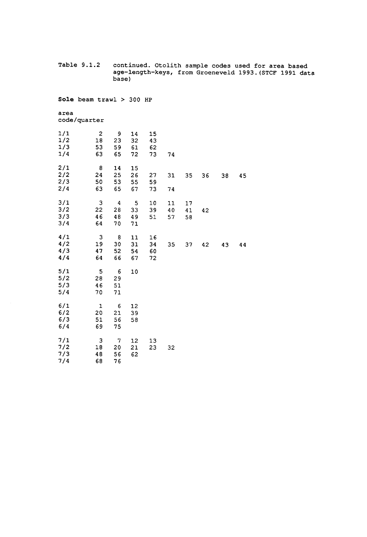**Table 9.1.2 continued. Otolith sample codes used for area based age-length-keys, from Groeneveld 1993.(STCF 1991 data base)** 

**Sole beam trawl > 300 HP** 

**area code/quarter** 

| 1/1<br>1/2<br>1/3<br>1/4 | $\mathbf{2}$<br>18<br>53<br>63 | 9<br>23<br>59<br>65                | 14<br>32<br>61<br>72 | 15<br>43<br>62<br>73 | 74             |                |    |    |    |
|--------------------------|--------------------------------|------------------------------------|----------------------|----------------------|----------------|----------------|----|----|----|
| 2/1<br>2/2<br>2/3<br>2/4 | 8<br>24<br>50<br>63            | 14<br>25<br>53<br>65               | 15<br>26<br>55<br>67 | 27<br>59<br>73       | 31<br>74       | 35             | 36 | 38 | 45 |
| 3/1<br>3/2<br>3/3<br>3/4 | 3<br>22<br>46<br>64            | $\boldsymbol{4}$<br>28<br>48<br>70 | 5<br>33<br>49<br>71  | $10\,$<br>39<br>51   | 11<br>40<br>57 | 17<br>41<br>58 | 42 |    |    |
| 4/1<br>4/2<br>4/3<br>4/4 | 3<br>19<br>47<br>64            | 8<br>30<br>52<br>66                | 11<br>31<br>54<br>67 | 16<br>34<br>60<br>72 | 35             | 37             | 42 | 43 | 44 |
| 5/1<br>5/2<br>5/3<br>5/4 | 5<br>28<br>46<br>70            | 6<br>29<br>51<br>71                | 10                   |                      |                |                |    |    |    |
| 6/1<br>6/2<br>6/3<br>6/4 | 1<br>20<br>51<br>69            | 6<br>21<br>56<br>75                | 12<br>39<br>58       |                      |                |                |    |    |    |
| 7/1<br>7/2<br>7/3<br>7/4 | 3<br>18<br>48<br>68            | 7<br>20<br>56<br>76                | 12<br>21<br>62       | 13<br>23             | 32             |                |    |    |    |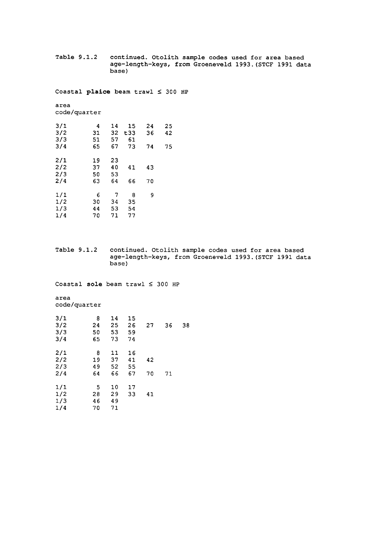**Table 9.1.2 continued. Otolith sample codes used for area based age-length-keys, from Groeneveld 1993.(STCF 1991 data base)** 

**Coastal plaice beam trawl < 300 HP** 

**area code/quarter** 

| 3/1 | 4  | 14 | 15   | 24 | 25 |
|-----|----|----|------|----|----|
| 3/2 | 31 | 32 | t 33 | 36 | 42 |
| 3/3 | 51 | 57 | 61   |    |    |
| 3/4 | 65 | 67 | 73   | 74 | 75 |
| 2/1 | 19 | 23 |      |    |    |
| 2/2 | 37 | 40 | 41   | 43 |    |
| 2/3 | 50 | 53 |      |    |    |
| 2/4 | 63 | 64 | 66   | 70 |    |
| 1/1 | 6  | 7  | 8    | 9  |    |
| 1/2 | 30 | 34 | 35   |    |    |
| 1/3 | 44 | 53 | 54   |    |    |
| 1/4 | 70 | 71 | 77   |    |    |

**Table 9.1.2 continued. Otolith sample codes used for area based age-length-keys, from Groeneveld 1993.(STCF 1991 data base)** 

**Coastal sole beam trawl <** 

**area code/quarter** 

| 3/1<br>3/2<br>3/3<br>3/4 | 8<br>24<br>50<br>65  | 14<br>25<br>53<br>73 | 15<br>26<br>59<br>74 | 27       | 36 | 38 |
|--------------------------|----------------------|----------------------|----------------------|----------|----|----|
| 2/1<br>2/2<br>2/3<br>2/4 | 8<br>19<br>49<br>64  | 11<br>37<br>52<br>66 | 16<br>41<br>55<br>67 | 42<br>70 | 71 |    |
| 1/1<br>1/2<br>1/3<br>1/4 | -5<br>28<br>46<br>70 | 10<br>29<br>49<br>71 | 17<br>33             | 41       |    |    |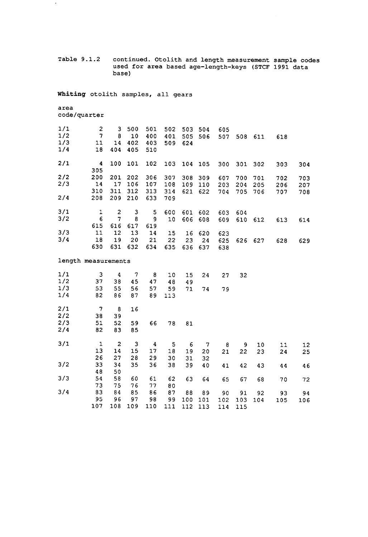**Table 9.1.2 continued. Otolith and length measurement sample codes used for area based age-length-keys (STCF 1991 data base)** 

**Whiting otolith samples, all gears** 

### **area code/quarter**

 $\epsilon$ 

| 1/1<br>1/2<br>1/3<br>1/4 | $\overline{c}$<br>7<br>11<br>18 | 3.<br>8<br>14<br>404 | 500<br>10<br>402<br>405 | 501<br>400<br>403<br>510 | 502<br>401<br>509 | 503.<br>505<br>624 | 504<br>506 | 605<br>507 |         | 508 611 | 618 |     |
|--------------------------|---------------------------------|----------------------|-------------------------|--------------------------|-------------------|--------------------|------------|------------|---------|---------|-----|-----|
| 2/1                      | 4<br>305                        | 100                  | 101                     | 102                      | 103               |                    | 104 105    | 300        | 301 302 |         | 303 | 304 |
| 2/2                      | 200                             | 201                  | 202                     | 306                      | 307               | 308                | 309        | 607        | 700     | 701     | 702 | 703 |
| 2/3                      | 14                              | 17                   | 106                     | 107                      | 108               | 109                | 110        | 203        | 204     | 205     | 206 | 207 |
|                          | 310                             | 311                  | 312                     | 313                      | 314               | 621                | 622        | 704        | 705     | 706     | 707 | 708 |
| 2/4                      | 208                             | 209                  | 210                     | 633                      | 709               |                    |            |            |         |         |     |     |
| 3/1                      | 1                               | 2                    | 3                       | 5.                       | 600               | 601                | 602        | 603        | 604     |         |     |     |
| 3/2                      | 6                               | $\overline{7}$       | 8                       | 9                        | 10                | 606                | 608        | 609        | 610     | 612     | 613 | 614 |
|                          | 615                             | 616                  | 617                     | 619                      |                   |                    |            |            |         |         |     |     |
| 3/3                      | 11                              | $12 \,$              | 13                      | 14                       | 15                | 16                 | 620        | 623        |         |         |     |     |
| 3/4                      | 18                              | 19                   | 20                      | 21                       | 22                | 23                 | 24         | 625        |         | 626 627 | 628 | 629 |
|                          | 630                             | 631                  | 632                     | 634                      | 635               | 636                | 637        | 638        |         |         |     |     |

**length measurements** 

| 1/1<br>1/2<br>1/3<br>1/4 | 3<br>37<br>53<br>82     | 4<br>38<br>55<br>86        | 7<br>45<br>56<br>87 | 8<br>47<br>57<br>89 | 10<br>48<br>59<br>113 | 15<br>49<br>71   | 24<br>74         | 27<br>79         | 32               |           |           |           |
|--------------------------|-------------------------|----------------------------|---------------------|---------------------|-----------------------|------------------|------------------|------------------|------------------|-----------|-----------|-----------|
| 2/1<br>2/2<br>2/3        | 7<br>38<br>51           | 8<br>39<br>52              | 16<br>59            | 66                  | 78                    | 81               |                  |                  |                  |           |           |           |
| 2/4                      | 82                      | 83                         | 85                  |                     |                       |                  |                  |                  |                  |           |           |           |
| 3/1                      | $\mathbf 1$<br>13<br>26 | $\overline{c}$<br>14<br>27 | 3<br>15<br>28       | 4<br>17<br>29       | 5<br>18<br>30         | 6<br>19<br>31    | 7<br>20<br>32    | 8<br>21          | 9<br>22          | 10<br>23  | 11<br>24  | 12<br>25  |
| 3/2                      | 33<br>48                | 34<br>50                   | 35                  | 36                  | 38                    | 39               | 40               | 41               | 42               | 43        | 44        | 46        |
| 3/3                      | 54<br>73                | 58<br>75                   | 60<br>76            | 61<br>77            | 62<br>80              | 63               | 64               | 65               | 67               | 68        | 70        | 72        |
| 3/4                      | 83<br>95<br>107         | 84<br>96<br>108            | 85<br>97<br>109     | 86<br>98<br>110     | 87<br>99<br>111       | 88<br>100<br>112 | 89<br>101<br>113 | 90<br>102<br>114 | 91<br>103<br>115 | 92<br>104 | 93<br>105 | 94<br>106 |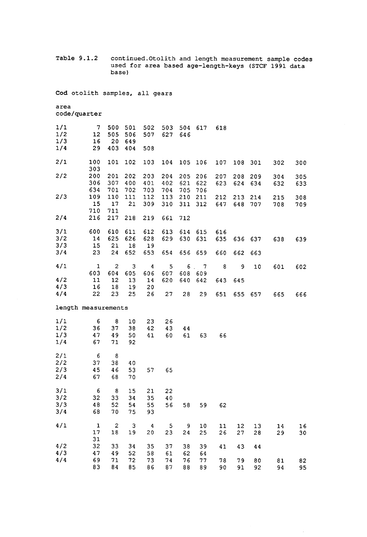**Table 9.1.2 continued.Otolith and length measurement sample codes used for area based age-length-keys (STCF 1991 data base)** 

**Cod otolith samples, all gears** 

**area code/quarter** 

| 1/1                 | 7            | 500              | 501          | 502      | 503      | 504            | 617            | 618      |     |          |     |     |
|---------------------|--------------|------------------|--------------|----------|----------|----------------|----------------|----------|-----|----------|-----|-----|
| 1/2                 | 12           | 505              | 506          | 507      | 627      | 646            |                |          |     |          |     |     |
| 1/3                 | 16           | 20               | 649          |          |          |                |                |          |     |          |     |     |
| 1/4                 | 29           | 403              | 404          | 508      |          |                |                |          |     |          |     |     |
| 2/1                 | 100          | 101              | 102          | 103      | 104      | 105            | 106            | 107      | 108 | 301      | 302 | 300 |
|                     | 303          |                  |              |          |          |                |                |          |     |          |     |     |
| 2/2                 | 200          | 201              | 202          | 203      | 204      | 205            | 206            | 207      | 208 | 209      | 304 | 305 |
|                     | 306          | 307              | 400          | 401      | 402      | 621            | 622            | 623      | 624 | 634      | 632 | 633 |
|                     | 634          | 701              | 702          | 703      | 704      | 705            | 706            |          |     |          |     |     |
| 2/3                 | 109          | 110              | 111          | 112      | 113      | 210            | 211            | 212      | 213 | 214      | 215 | 308 |
|                     | 15           | 17               | 21           | 309      | 310      | 311            | 312            | 647      | 648 | 707      | 708 | 709 |
|                     | 710          | 711              |              |          |          |                |                |          |     |          |     |     |
| 2/4                 | 216          | 217              | 218          | 219      | 661      | 712            |                |          |     |          |     |     |
| 3/1                 | 600          | 610              | 611          | 612      | 613      | 614            | 615            | 616      |     |          |     |     |
| 3/2                 | 14           | 625              | 626          | 628      | 629      | 630            | 631            | 635      | 636 | 637      | 638 | 639 |
| 3/3                 | 15           | 21               | $18\,$       | 19       |          |                |                |          |     |          |     |     |
| 3/4                 | 23           | 24               | 652          | 653      | 654      | 656            | 659            | 660      | 662 | 663      |     |     |
|                     |              |                  |              |          |          |                |                |          |     |          |     |     |
| 4/1                 | $\mathbf{1}$ | $\boldsymbol{2}$ | 3            | 4        | 5        | 6 <sub>1</sub> | $\overline{7}$ | 8        | 9   | 10       | 601 | 602 |
|                     | 603          | 604              | 605          | 606      | 607      | 608            | 609            |          |     |          |     |     |
| 4/2                 | 11           | 12               | 13           | 14       | 620      | 640            | 642            | 643      | 645 |          |     |     |
| 4/3                 | 16           | 18               | 19           | 20       |          |                |                |          |     |          |     |     |
|                     |              |                  | 25           | 26       | 27       | 28             | 29             | 651      | 655 | 657      | 665 | 666 |
| 4/4                 | 22           | 23               |              |          |          |                |                |          |     |          |     |     |
| length measurements |              |                  |              |          |          |                |                |          |     |          |     |     |
|                     |              |                  |              |          |          |                |                |          |     |          |     |     |
| 1/1                 | 6            | 8                | 10           | 23       | 26       |                |                |          |     |          |     |     |
| 1/2                 | 36           | 37               | 38           | 42       | 43       | 44             |                |          |     |          |     |     |
| 1/3                 | 47<br>67     | 49<br>71         | 50<br>92     | 41       | 60       | 61             | 63             | 66       |     |          |     |     |
| 1/4                 |              |                  |              |          |          |                |                |          |     |          |     |     |
| 2/1                 | 6            | -8               |              |          |          |                |                |          |     |          |     |     |
| 2/2                 | 37           | 38               | 40           |          |          |                |                |          |     |          |     |     |
| 2/3                 | 45           | 46               | 53           | 57       | 65       |                |                |          |     |          |     |     |
| 2/4                 | 67           | 68               | 70           |          |          |                |                |          |     |          |     |     |
|                     |              |                  | 15           |          |          |                |                |          |     |          |     |     |
| 3/1                 | 6            | $\boldsymbol{8}$ |              | 21       | 22       |                |                |          |     |          |     |     |
| 3/2                 | 32           | 33               | 34           | 35       | 40       |                |                |          |     |          |     |     |
| 3/3                 | 48           | 52               | 54           | 55       | 56       | 58             | 59             | 62       |     |          |     |     |
| 3/4                 | 68           | 70               | 75           | 93       |          |                |                |          |     |          |     |     |
| 4/1                 | $\mathbf 1$  | $\boldsymbol{2}$ | $\mathbf{3}$ | 4        | 5        | 9              | 10             | 11       | 12  | 13       | 14  | 16  |
|                     | 17           | 18               | 19           | 20       | 23       | 24             | 25             | 26       | 27  | 28       | 29  | 30  |
|                     | 31           |                  |              |          |          |                |                |          |     |          |     |     |
| 4/2                 | 32           | 33               | 34           | 35       | 37       | 38             | 39             | 41       | 43  | 44       |     |     |
| 4/3                 | 47           | 49               | 52           | 58       | 61       | 62             | 64             |          |     |          |     |     |
| 4/4                 | 69<br>83     | 71               | 72<br>85     | 73<br>86 | 74<br>87 | 76<br>88       | 77<br>89       | 78<br>90 | 79  | 80<br>92 | 81  | 82  |

 $\sim$